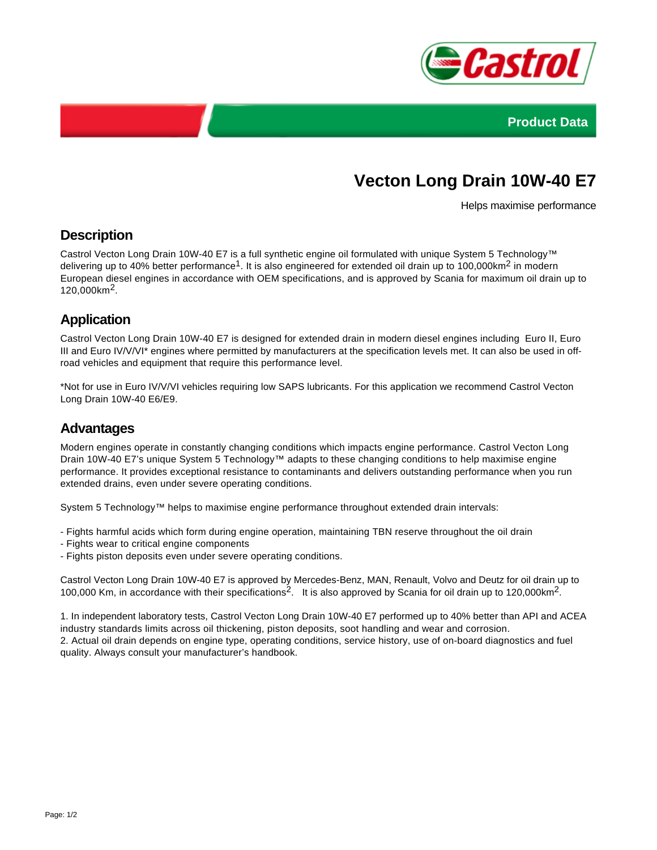



# **Vecton Long Drain 10W-40 E7**

Helps maximise performance

### **Description**

Castrol Vecton Long Drain 10W-40 E7 is a full synthetic engine oil formulated with unique System 5 Technology™ delivering up to 40% better performance<sup>1</sup>. It is also engineered for extended oil drain up to 100,000km<sup>2</sup> in modern European diesel engines in accordance with OEM specifications, and is approved by Scania for maximum oil drain up to 120,000km2.

## **Application**

Castrol Vecton Long Drain 10W-40 E7 is designed for extended drain in modern diesel engines including Euro II, Euro III and Euro IV/V/VI\* engines where permitted by manufacturers at the specification levels met. It can also be used in offroad vehicles and equipment that require this performance level.

\*Not for use in Euro IV/V/VI vehicles requiring low SAPS lubricants. For this application we recommend Castrol Vecton Long Drain 10W-40 E6/E9.

#### **Advantages**

Modern engines operate in constantly changing conditions which impacts engine performance. Castrol Vecton Long Drain 10W-40 E7's unique System 5 Technology™ adapts to these changing conditions to help maximise engine performance. It provides exceptional resistance to contaminants and delivers outstanding performance when you run extended drains, even under severe operating conditions.

System 5 Technology™ helps to maximise engine performance throughout extended drain intervals:

- Fights harmful acids which form during engine operation, maintaining TBN reserve throughout the oil drain
- Fights wear to critical engine components
- Fights piston deposits even under severe operating conditions.

Castrol Vecton Long Drain 10W-40 E7 is approved by Mercedes-Benz, MAN, Renault, Volvo and Deutz for oil drain up to 100,000 Km, in accordance with their specifications<sup>2</sup>. It is also approved by Scania for oil drain up to 120,000 km<sup>2</sup>.

1. In independent laboratory tests, Castrol Vecton Long Drain 10W-40 E7 performed up to 40% better than API and ACEA industry standards limits across oil thickening, piston deposits, soot handling and wear and corrosion. 2. Actual oil drain depends on engine type, operating conditions, service history, use of on-board diagnostics and fuel quality. Always consult your manufacturer's handbook.